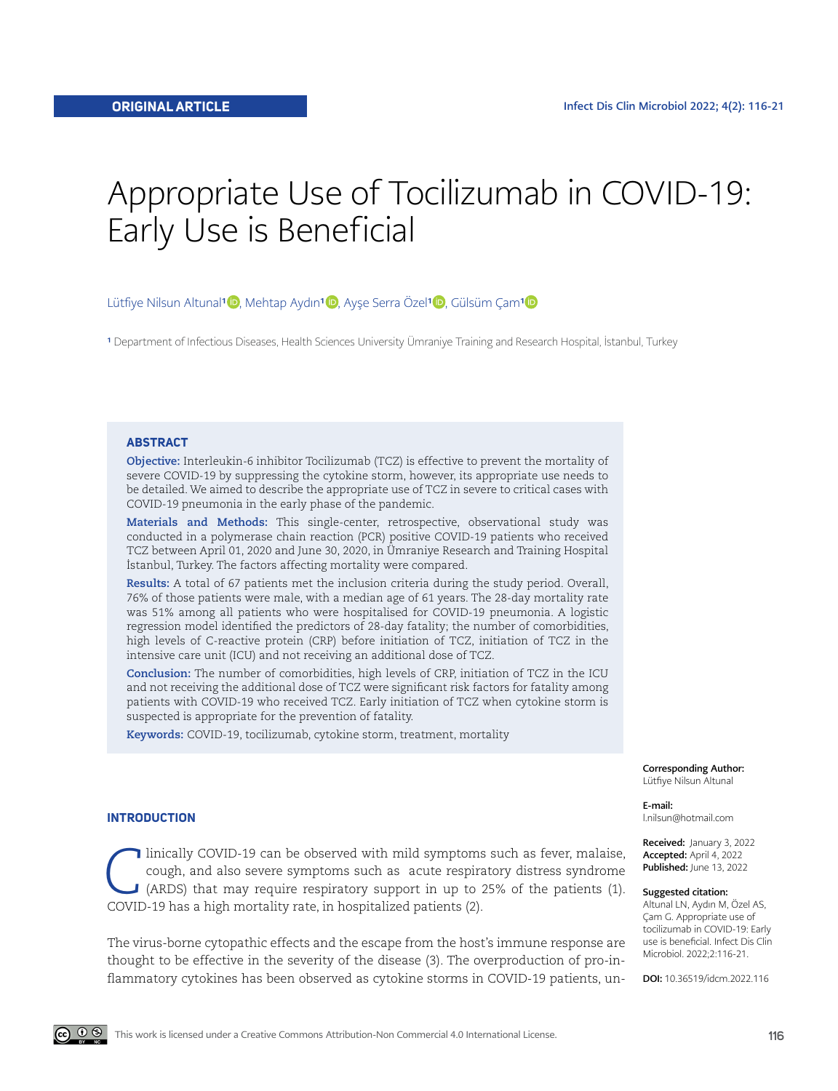# Appropriate Use of Tocilizumab in COVID-19: Early Use is Beneficial

Lütfiye Nilsun Altunal<sup>1</sup> D, Mehtap Aydın<sup>1</sup> D, Ayşe Serra Özel<sup>1</sup> D, Gülsüm Çam<sup>1</sup> D

<sup>1</sup> Department of Infectious Diseases, Health Sciences University Ümraniye Training and Research Hospital, İstanbul, Turkey

#### **ABSTRACT**

**Objective:** Interleukin-6 inhibitor Tocilizumab (TCZ) is effective to prevent the mortality of severe COVID-19 by suppressing the cytokine storm, however, its appropriate use needs to be detailed. We aimed to describe the appropriate use of TCZ in severe to critical cases with COVID-19 pneumonia in the early phase of the pandemic.

**Materials and Methods:** This single-center, retrospective, observational study was conducted in a polymerase chain reaction (PCR) positive COVID-19 patients who received TCZ between April 01, 2020 and June 30, 2020, in Ümraniye Research and Training Hospital İstanbul, Turkey. The factors affecting mortality were compared.

**Results:** A total of 67 patients met the inclusion criteria during the study period. Overall, 76% of those patients were male, with a median age of 61 years. The 28-day mortality rate was 51% among all patients who were hospitalised for COVID-19 pneumonia. A logistic regression model identified the predictors of 28-day fatality; the number of comorbidities, high levels of C-reactive protein (CRP) before initiation of TCZ, initiation of TCZ in the intensive care unit (ICU) and not receiving an additional dose of TCZ.

**Conclusion:** The number of comorbidities, high levels of CRP, initiation of TCZ in the ICU and not receiving the additional dose of TCZ were significant risk factors for fatality among patients with COVID-19 who received TCZ. Early initiation of TCZ when cytokine storm is suspected is appropriate for the prevention of fatality.

**Keywords:** COVID-19, tocilizumab, cytokine storm, treatment, mortality

Corresponding Author: Lütfiye Nilsun Altunal

E-mail:

l.nilsun@hotmail.com

Received: January 3, 2022 Accepted: April 4, 2022 Published: June 13, 2022

#### Suggested citation:

Altunal LN, Aydın M, Özel AS, Çam G. Appropriate use of tocilizumab in COVID-19: Early use is beneficial. Infect Dis Clin Microbiol. 2022;2:116-21.

DOI: 10.36519/idcm.2022.116

### **INTRODUCTION**

Inically COVID-19 can be observed with mild symptoms such as fever, malaise, cough, and also severe symptoms such as acute respiratory distress syndrome (ARDS) that may require respiratory support in up to 25% of the patie cough, and also severe symptoms such as acute respiratory distress syndrome (ARDS) that may require respiratory support in up to 25% of the patients (1). COVID-19 has a high mortality rate, in hospitalized patients (2).

The virus-borne cytopathic effects and the escape from the host's immune response are thought to be effective in the severity of the disease (3). The overproduction of pro-inflammatory cytokines has been observed as cytokine storms in COVID-19 patients, un-

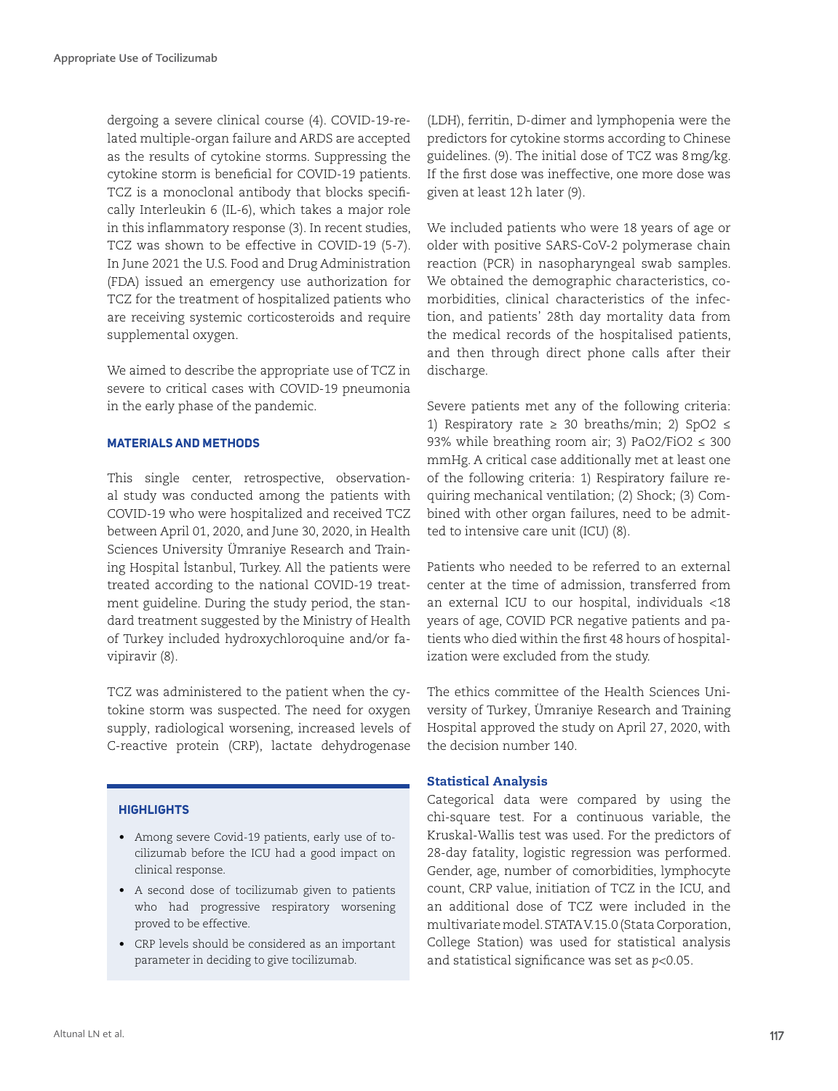dergoing a severe clinical course (4). COVID-19-related multiple-organ failure and ARDS are accepted as the results of cytokine storms. Suppressing the cytokine storm is beneficial for COVID-19 patients. TCZ is a monoclonal antibody that blocks specifically Interleukin 6 (IL-6), which takes a major role in this inflammatory response (3). In recent studies, TCZ was shown to be effective in COVID-19 (5-7). In June 2021 the U.S. Food and Drug Administration (FDA) issued an emergency use authorization for TCZ for the treatment of hospitalized patients who are receiving systemic corticosteroids and require supplemental oxygen.

We aimed to describe the appropriate use of TCZ in severe to critical cases with COVID-19 pneumonia in the early phase of the pandemic.

## **MATERIALS AND METHODS**

This single center, retrospective, observational study was conducted among the patients with COVID-19 who were hospitalized and received TCZ between April 01, 2020, and June 30, 2020, in Health Sciences University Ümraniye Research and Training Hospital İstanbul, Turkey. All the patients were treated according to the national COVID-19 treatment guideline. During the study period, the standard treatment suggested by the Ministry of Health of Turkey included hydroxychloroquine and/or favipiravir (8).

TCZ was administered to the patient when the cytokine storm was suspected. The need for oxygen supply, radiological worsening, increased levels of C-reactive protein (CRP), lactate dehydrogenase

#### **HIGHLIGHTS**

- Among severe Covid-19 patients, early use of tocilizumab before the ICU had a good impact on clinical response.
- A second dose of tocilizumab given to patients who had progressive respiratory worsening proved to be effective.
- CRP levels should be considered as an important parameter in deciding to give tocilizumab.

(LDH), ferritin, D-dimer and lymphopenia were the predictors for cytokine storms according to Chinese guidelines. (9). The initial dose of TCZ was 8mg/kg. If the first dose was ineffective, one more dose was given at least 12h later (9).

We included patients who were 18 years of age or older with positive SARS-CoV-2 polymerase chain reaction (PCR) in nasopharyngeal swab samples. We obtained the demographic characteristics, comorbidities, clinical characteristics of the infection, and patients' 28th day mortality data from the medical records of the hospitalised patients, and then through direct phone calls after their discharge.

Severe patients met any of the following criteria: 1) Respiratory rate  $\geq$  30 breaths/min; 2) SpO2  $\leq$ 93% while breathing room air; 3) PaO2/FiO2 ≤ 300 mmHg. A critical case additionally met at least one of the following criteria: 1) Respiratory failure requiring mechanical ventilation; (2) Shock; (3) Combined with other organ failures, need to be admitted to intensive care unit (ICU) (8).

Patients who needed to be referred to an external center at the time of admission, transferred from an external ICU to our hospital, individuals <18 years of age, COVID PCR negative patients and patients who died within the first 48 hours of hospitalization were excluded from the study.

The ethics committee of the Health Sciences University of Turkey, Ümraniye Research and Training Hospital approved the study on April 27, 2020, with the decision number 140.

#### Statistical Analysis

Categorical data were compared by using the chi-square test. For a continuous variable, the Kruskal-Wallis test was used. For the predictors of 28-day fatality, logistic regression was performed. Gender, age, number of comorbidities, lymphocyte count, CRP value, initiation of TCZ in the ICU, and an additional dose of TCZ were included in the multivariate model. STATA V.15.0 (Stata Corporation, College Station) was used for statistical analysis and statistical significance was set as *p*<0.05.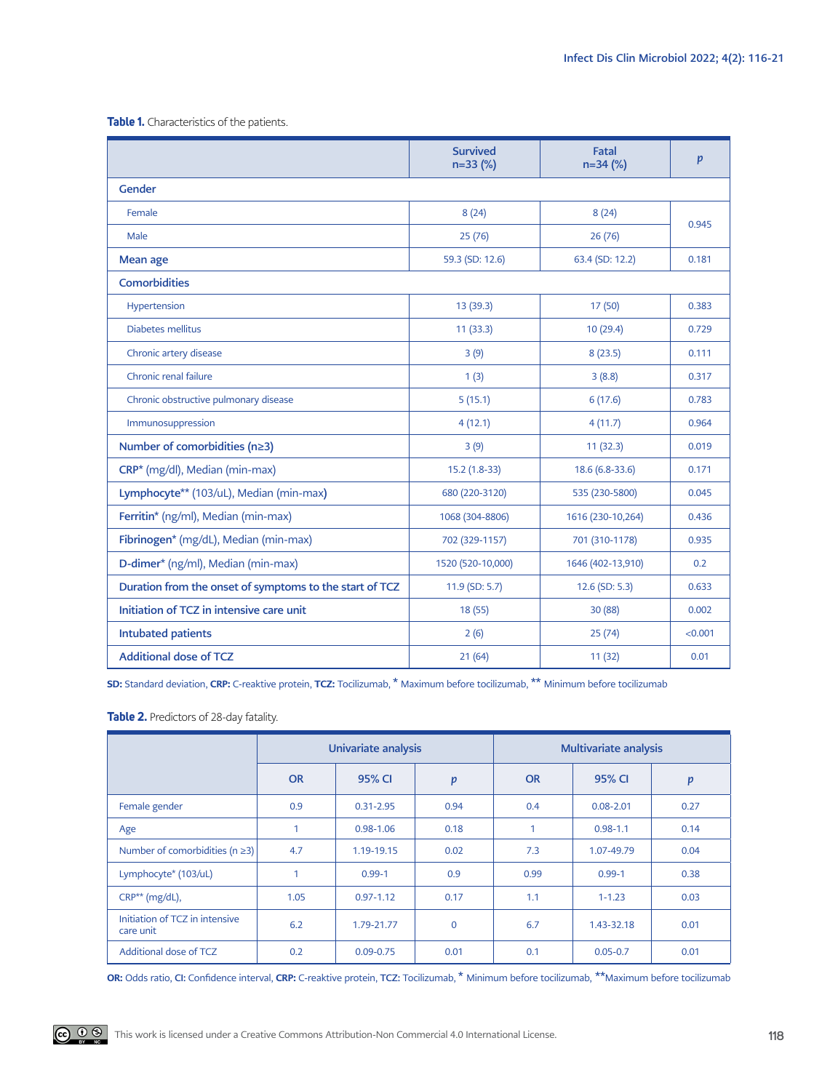**Table 1.** Characteristics of the patients.

|                                                         | <b>Survived</b><br>$n=33$ (%) | Fatal<br>$n=34$ (%) | p       |  |  |  |  |  |
|---------------------------------------------------------|-------------------------------|---------------------|---------|--|--|--|--|--|
| Gender                                                  |                               |                     |         |  |  |  |  |  |
| Female                                                  | 8(24)                         | 8(24)               | 0.945   |  |  |  |  |  |
| Male                                                    | 25(76)                        | 26(76)              |         |  |  |  |  |  |
| Mean age                                                | 59.3 (SD: 12.6)               | 63.4 (SD: 12.2)     | 0.181   |  |  |  |  |  |
| <b>Comorbidities</b>                                    |                               |                     |         |  |  |  |  |  |
| Hypertension                                            | 13 (39.3)                     | 17 (50)             | 0.383   |  |  |  |  |  |
| Diabetes mellitus                                       | 11(33.3)                      | 10(29.4)            | 0.729   |  |  |  |  |  |
| Chronic artery disease                                  | 3(9)                          | 8(23.5)             | 0.111   |  |  |  |  |  |
| Chronic renal failure                                   | 1(3)                          | 3(8.8)              | 0.317   |  |  |  |  |  |
| Chronic obstructive pulmonary disease                   | 5(15.1)                       | 6(17.6)             | 0.783   |  |  |  |  |  |
| Immunosuppression                                       | 4(12.1)                       | 4(11.7)             | 0.964   |  |  |  |  |  |
| Number of comorbidities (n≥3)                           | 3(9)                          | 11(32.3)            | 0.019   |  |  |  |  |  |
| CRP* (mg/dl), Median (min-max)                          | 15.2 (1.8-33)                 | 18.6 (6.8-33.6)     | 0.171   |  |  |  |  |  |
| Lymphocyte** (103/uL), Median (min-max)                 | 680 (220-3120)                | 535 (230-5800)      | 0.045   |  |  |  |  |  |
| Ferritin* (ng/ml), Median (min-max)                     | 1068 (304-8806)               | 1616 (230-10,264)   | 0.436   |  |  |  |  |  |
| Fibrinogen* (mg/dL), Median (min-max)                   | 702 (329-1157)                | 701 (310-1178)      | 0.935   |  |  |  |  |  |
| D-dimer* (ng/ml), Median (min-max)                      | 1520 (520-10,000)             | 1646 (402-13,910)   | 0.2     |  |  |  |  |  |
| Duration from the onset of symptoms to the start of TCZ | 11.9 (SD: 5.7)                | 12.6 (SD: 5.3)      | 0.633   |  |  |  |  |  |
| Initiation of TCZ in intensive care unit                | 18(55)                        | 30 (88)             | 0.002   |  |  |  |  |  |
| <b>Intubated patients</b>                               | 2(6)                          | 25(74)              | < 0.001 |  |  |  |  |  |
| <b>Additional dose of TCZ</b>                           | 21(64)                        | 11(32)              | 0.01    |  |  |  |  |  |

SD: Standard deviation, CRP: C-reaktive protein, TCZ: Tocilizumab, \* Maximum before tocilizumab, \*\* Minimum before tocilizumab

### **Table 2.** Predictors of 28-day fatality.

|                                             | Univariate analysis |               |          | <b>Multivariate analysis</b> |               |      |
|---------------------------------------------|---------------------|---------------|----------|------------------------------|---------------|------|
|                                             | <b>OR</b>           | 95% CI        | p        | <b>OR</b>                    | 95% CI        | p    |
| Female gender                               | 0.9                 | $0.31 - 2.95$ | 0.94     | 0.4                          | $0.08 - 2.01$ | 0.27 |
| Age                                         | 1                   | $0.98 - 1.06$ | 0.18     | $\mathbf{1}$                 | $0.98 - 1.1$  | 0.14 |
| Number of comorbidities ( $n \geq 3$ )      | 4.7                 | 1.19-19.15    | 0.02     | 7.3                          | 1.07-49.79    | 0.04 |
| Lymphocyte* (103/uL)                        | 1                   | $0.99 - 1$    | 0.9      | 0.99                         | $0.99 - 1$    | 0.38 |
| $CRP**$ (mg/dL),                            | 1.05                | $0.97 - 1.12$ | 0.17     | 1.1                          | $1 - 1.23$    | 0.03 |
| Initiation of TCZ in intensive<br>care unit | 6.2                 | 1.79-21.77    | $\Omega$ | 6.7                          | 1.43-32.18    | 0.01 |
| Additional dose of TCZ                      | 0.2                 | $0.09 - 0.75$ | 0.01     | 0.1                          | $0.05 - 0.7$  | 0.01 |

OR: Odds ratio, CI: Confidence interval, CRP: C-reaktive protein, TCZ: Tocilizumab, \* Minimum before tocilizumab, \*\*Maximum before tocilizumab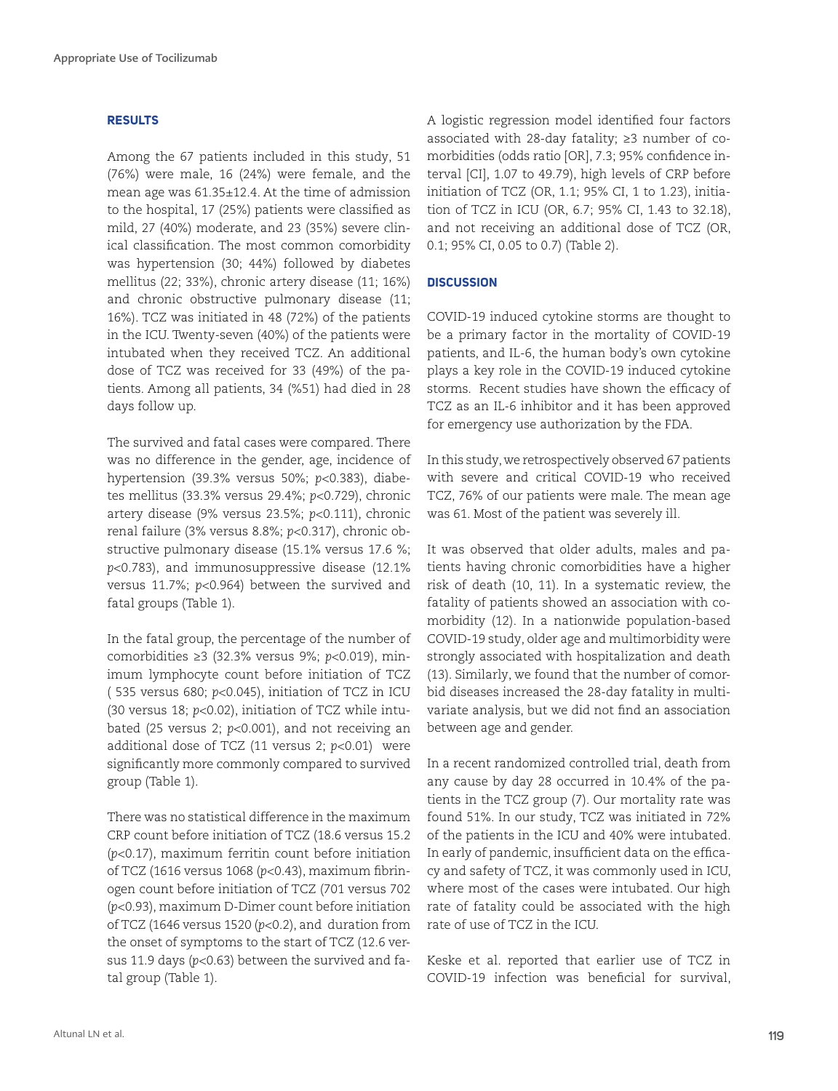#### **RESULTS**

Among the 67 patients included in this study, 51 (76%) were male, 16 (24%) were female, and the mean age was 61.35±12.4. At the time of admission to the hospital, 17 (25%) patients were classified as mild, 27 (40%) moderate, and 23 (35%) severe clinical classification. The most common comorbidity was hypertension (30; 44%) followed by diabetes mellitus (22; 33%), chronic artery disease (11; 16%) and chronic obstructive pulmonary disease (11; 16%). TCZ was initiated in 48 (72%) of the patients in the ICU. Twenty-seven (40%) of the patients were intubated when they received TCZ. An additional dose of TCZ was received for 33 (49%) of the patients. Among all patients, 34 (%51) had died in 28 days follow up.

The survived and fatal cases were compared. There was no difference in the gender, age, incidence of hypertension (39.3% versus 50%; *p*<0.383), diabetes mellitus (33.3% versus 29.4%; *p*<0.729), chronic artery disease (9% versus 23.5%; *p*<0.111), chronic renal failure (3% versus 8.8%; *p*<0.317), chronic obstructive pulmonary disease (15.1% versus 17.6 %; *p*<0.783), and immunosuppressive disease (12.1% versus 11.7%; *p*<0.964) between the survived and fatal groups (Table 1).

In the fatal group, the percentage of the number of comorbidities ≥3 (32.3% versus 9%; *p*<0.019), minimum lymphocyte count before initiation of TCZ ( 535 versus 680; *p*<0.045), initiation of TCZ in ICU (30 versus 18; *p*<0.02), initiation of TCZ while intubated (25 versus 2; *p*<0.001), and not receiving an additional dose of TCZ (11 versus 2; *p*<0.01) were significantly more commonly compared to survived group (Table 1).

There was no statistical difference in the maximum CRP count before initiation of TCZ (18.6 versus 15.2 (*p*<0.17), maximum ferritin count before initiation of TCZ (1616 versus 1068 (*p*<0.43), maximum fibrinogen count before initiation of TCZ (701 versus 702 (*p*<0.93), maximum D-Dimer count before initiation of TCZ (1646 versus 1520 (*p*<0.2), and duration from the onset of symptoms to the start of TCZ (12.6 versus 11.9 days (*p*<0.63) between the survived and fatal group (Table 1).

A logistic regression model identified four factors associated with 28-day fatality; ≥3 number of comorbidities (odds ratio [OR], 7.3; 95% confidence interval [CI], 1.07 to 49.79), high levels of CRP before initiation of TCZ (OR, 1.1; 95% CI, 1 to 1.23), initiation of TCZ in ICU (OR, 6.7; 95% CI, 1.43 to 32.18), and not receiving an additional dose of TCZ (OR, 0.1; 95% CI, 0.05 to 0.7) (Table 2).

### **DISCUSSION**

COVID-19 induced cytokine storms are thought to be a primary factor in the mortality of COVID-19 patients, and IL-6, the human body's own cytokine plays a key role in the COVID-19 induced cytokine storms. Recent studies have shown the efficacy of TCZ as an IL-6 inhibitor and it has been approved for emergency use authorization by the FDA.

In this study, we retrospectively observed 67 patients with severe and critical COVID-19 who received TCZ, 76% of our patients were male. The mean age was 61. Most of the patient was severely ill.

It was observed that older adults, males and patients having chronic comorbidities have a higher risk of death (10, 11). In a systematic review, the fatality of patients showed an association with comorbidity (12). In a nationwide population-based COVID-19 study, older age and multimorbidity were strongly associated with hospitalization and death (13). Similarly, we found that the number of comorbid diseases increased the 28-day fatality in multivariate analysis, but we did not find an association between age and gender.

In a recent randomized controlled trial, death from any cause by day 28 occurred in 10.4% of the patients in the TCZ group (7). Our mortality rate was found 51%. In our study, TCZ was initiated in 72% of the patients in the ICU and 40% were intubated. In early of pandemic, insufficient data on the efficacy and safety of TCZ, it was commonly used in ICU, where most of the cases were intubated. Our high rate of fatality could be associated with the high rate of use of TCZ in the ICU.

Keske et al. reported that earlier use of TCZ in COVID-19 infection was beneficial for survival,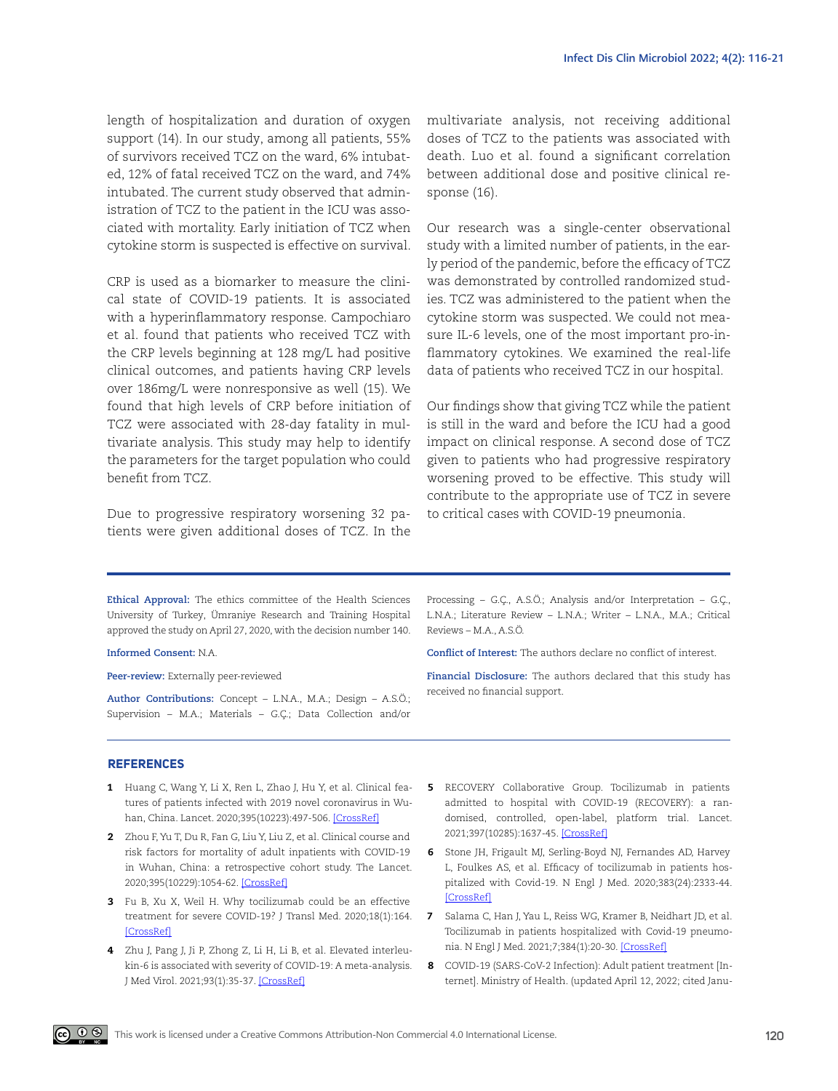length of hospitalization and duration of oxygen support (14). In our study, among all patients, 55% of survivors received TCZ on the ward, 6% intubated, 12% of fatal received TCZ on the ward, and 74% intubated. The current study observed that administration of TCZ to the patient in the ICU was associated with mortality. Early initiation of TCZ when cytokine storm is suspected is effective on survival.

CRP is used as a biomarker to measure the clinical state of COVID-19 patients. It is associated with a hyperinflammatory response. Campochiaro et al. found that patients who received TCZ with the CRP levels beginning at 128 mg/L had positive clinical outcomes, and patients having CRP levels over 186mg/L were nonresponsive as well (15). We found that high levels of CRP before initiation of TCZ were associated with 28-day fatality in multivariate analysis. This study may help to identify the parameters for the target population who could benefit from TCZ.

Due to progressive respiratory worsening 32 patients were given additional doses of TCZ. In the multivariate analysis, not receiving additional doses of TCZ to the patients was associated with death. Luo et al. found a significant correlation between additional dose and positive clinical response (16).

Our research was a single-center observational study with a limited number of patients, in the early period of the pandemic, before the efficacy of TCZ was demonstrated by controlled randomized studies. TCZ was administered to the patient when the cytokine storm was suspected. We could not measure IL-6 levels, one of the most important pro-inflammatory cytokines. We examined the real-life data of patients who received TCZ in our hospital.

Our findings show that giving TCZ while the patient is still in the ward and before the ICU had a good impact on clinical response. A second dose of TCZ given to patients who had progressive respiratory worsening proved to be effective. This study will contribute to the appropriate use of TCZ in severe to critical cases with COVID-19 pneumonia.

**Ethical Approval:** The ethics committee of the Health Sciences University of Turkey, Ümraniye Research and Training Hospital approved the study on April 27, 2020, with the decision number 140.

**Informed Consent:** N.A.

**Peer-review:** Externally peer-reviewed

**Author Contributions:** Concept – L.N.A., M.A.; Design – A.S.Ö.; Supervision – M.A.; Materials – G.Ç.; Data Collection and/or

Processing – G.Ç., A.S.Ö.; Analysis and/or Interpretation – G.Ç., L.N.A.; Literature Review – L.N.A.; Writer – L.N.A., M.A.; Critical Reviews – M.A., A.S.Ö.

**Conflict of Interest:** The authors declare no conflict of interest.

**Financial Disclosure:** The authors declared that this study has received no financial support.

#### **REFERENCES**

- 1 Huang C, Wang Y, Li X, Ren L, Zhao J, Hu Y, et al. Clinical features of patients infected with 2019 novel coronavirus in Wuhan, China. Lancet. 2020;395(10223):497-506. [\[CrossRef\]](https://doi.org/10.1016/S0140-6736(20)30183-5)
- 2 Zhou F, Yu T, Du R, Fan G, Liu Y, Liu Z, et al. Clinical course and risk factors for mortality of adult inpatients with COVID-19 in Wuhan, China: a retrospective cohort study. The Lancet. 2020;395(10229):1054-62. [[CrossRef](https://doi.org/10.1016/S0140-6736(20)30566-3)]
- 3 Fu B, Xu X, Weil H. Why tocilizumab could be an effective treatment for severe COVID-19? J Transl Med. 2020;18(1):164. [\[CrossRef\]](https://doi.org/10.1002/jmv.26085)
- 4 [Zhu J, Pang J, Ji P, Zhong Z, Li H, Li B, et al. Elevated interleu](https://doi.org/10.1002/jmv.26085)[kin-6 is associated with severity of COVID-19: A meta-analysis.](https://doi.org/10.1002/jmv.26085)  [J Med Virol. 2021;93\(1\):35-37. \[CrossRef\]](https://doi.org/10.1002/jmv.26085)
- 5 RECOVERY Collaborative Group. Tocilizumab in patients admitted to hospital with COVID-19 (RECOVERY): a randomised, controlled, open-label, platform trial. Lancet. 2021;397(10285):1637-45. [\[CrossRef\]](https://doi.org/10.1016/S0140-6736(21)00676-0)
- 6 Stone JH, Frigault MJ, Serling-Boyd NJ, Fernandes AD, Harvey L, Foulkes AS, et al. Efficacy of tocilizumab in patients hospitalized with Covid-19. N Engl J Med. 2020;383(24):2333-44. [[CrossRef](https://doi.org/10.1056/NEJMoa2028836)]
- 7 Salama C, Han J, Yau L, Reiss WG, Kramer B, Neidhart JD, et al. Tocilizumab in patients hospitalized with Covid-19 pneumonia. N Engl J Med. 2021;7;384(1):20-30. [[CrossRef\]](https://doi.org/10.1056/NEJMoa2030340)
- 8 COVID-19 (SARS-CoV-2 Infection): Adult patient treatment [Internet]. Ministry of Health. (updated April 12, 2022; cited Janu-